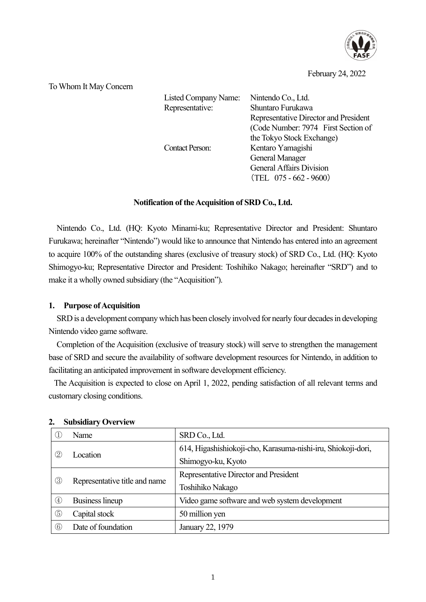

February 24, 2022

To Whom It May Concern

| Listed Company Name:<br>Representative: | Nintendo Co., Ltd.<br>Shuntaro Furukawa<br>Representative Director and President<br>(Code Number: 7974 First Section of<br>the Tokyo Stock Exchange) |
|-----------------------------------------|------------------------------------------------------------------------------------------------------------------------------------------------------|
| <b>Contact Person:</b>                  | Kentaro Yamagishi<br><b>General Manager</b><br><b>General Affairs Division</b><br>$(TEL 075 - 662 - 9600)$                                           |

## **Notification of the Acquisition of SRD Co., Ltd.**

Nintendo Co., Ltd. (HQ: Kyoto Minami-ku; Representative Director and President: Shuntaro Furukawa; hereinafter "Nintendo") would like to announce that Nintendo has entered into an agreement to acquire 100% of the outstanding shares (exclusive of treasury stock) of SRD Co., Ltd. (HQ: Kyoto Shimogyo-ku; Representative Director and President: Toshihiko Nakago; hereinafter "SRD") and to make it a wholly owned subsidiary (the "Acquisition").

## **1. Purpose of Acquisition**

SRD is a development company which has been closely involved for nearly four decades in developing Nintendo video game software.

Completion of the Acquisition (exclusive of treasury stock) will serve to strengthen the management base of SRD and secure the availability of software development resources for Nintendo, in addition to facilitating an anticipated improvement in software development efficiency.

The Acquisition is expected to close on April 1, 2022, pending satisfaction of all relevant terms and customary closing conditions.

|                                      | Name                          | SRD Co., Ltd.                                                |
|--------------------------------------|-------------------------------|--------------------------------------------------------------|
| $^{\small{\textcircled{\small{2}}}}$ | Location                      | 614, Higashishiokoji-cho, Karasuma-nishi-iru, Shiokoji-dori, |
|                                      |                               | Shimogyo-ku, Kyoto                                           |
| ③                                    | Representative title and name | Representative Director and President                        |
|                                      |                               | Toshihiko Nakago                                             |
| $\circledast$                        | <b>Business lineup</b>        | Video game software and web system development               |
| $\circledS$                          | Capital stock                 | 50 million yen                                               |
| $^\copyright$                        | Date of foundation            | January 22, 1979                                             |

## **2. Subsidiary Overview**